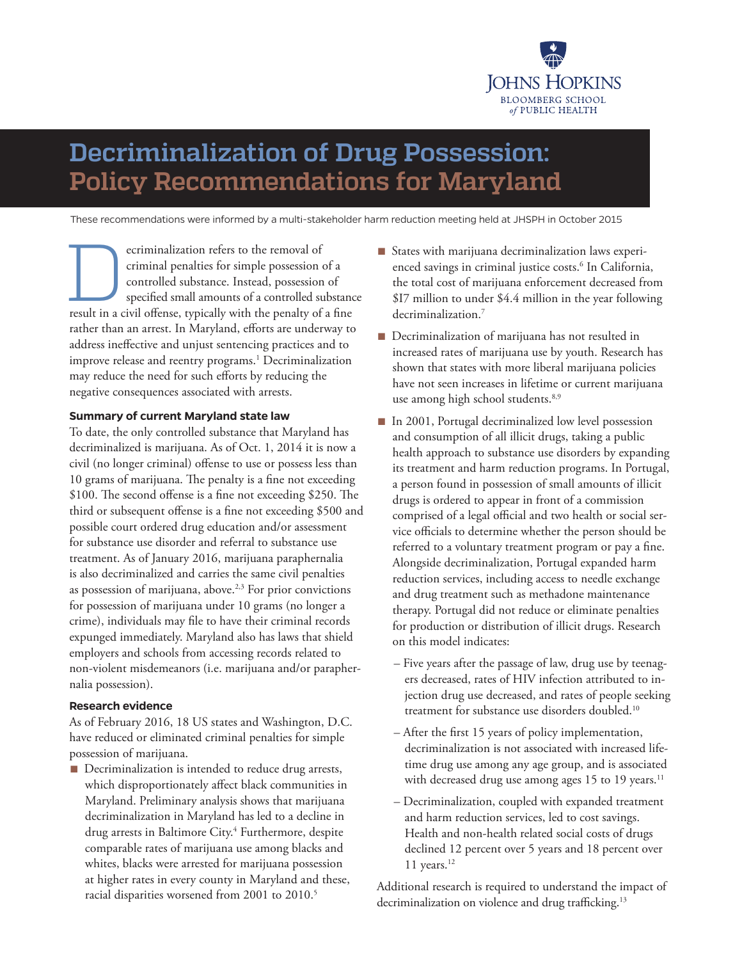

# **Decriminalization of Drug Possession: Policy Recommendations for Maryland**

These recommendations were informed by a multi-stakeholder harm reduction meeting held at JHSPH in October 2015

ecriminalization refers to the removal of<br>criminal penalties for simple possession of<br>controlled substance. Instead, possession<br>specified small amounts of a controlled sur-<br>result in a civil offense, typically with the pen criminal penalties for simple possession of a controlled substance. Instead, possession of specified small amounts of a controlled substance result in a civil offense, typically with the penalty of a fine rather than an arrest. In Maryland, efforts are underway to address ineffective and unjust sentencing practices and to improve release and reentry programs.<sup>1</sup> Decriminalization may reduce the need for such efforts by reducing the negative consequences associated with arrests.

#### **Summary of current Maryland state law**

To date, the only controlled substance that Maryland has decriminalized is marijuana. As of Oct. 1, 2014 it is now a civil (no longer criminal) offense to use or possess less than 10 grams of marijuana. The penalty is a fine not exceeding \$100. The second offense is a fine not exceeding \$250. The third or subsequent offense is a fine not exceeding \$500 and possible court ordered drug education and/or assessment for substance use disorder and referral to substance use treatment. As of January 2016, marijuana paraphernalia is also decriminalized and carries the same civil penalties as possession of marijuana, above.<sup>2,3</sup> For prior convictions for possession of marijuana under 10 grams (no longer a crime), individuals may file to have their criminal records expunged immediately. Maryland also has laws that shield employers and schools from accessing records related to non-violent misdemeanors (i.e. marijuana and/or paraphernalia possession).

#### **Research evidence**

As of February 2016, 18 US states and Washington, D.C. have reduced or eliminated criminal penalties for simple possession of marijuana.

■ Decriminalization is intended to reduce drug arrests, which disproportionately affect black communities in Maryland. Preliminary analysis shows that marijuana decriminalization in Maryland has led to a decline in drug arrests in Baltimore City.4 Furthermore, despite comparable rates of marijuana use among blacks and whites, blacks were arrested for marijuana possession at higher rates in every county in Maryland and these, racial disparities worsened from 2001 to 2010.<sup>5</sup>

- States with marijuana decriminalization laws experienced savings in criminal justice costs.<sup>6</sup> In California, the total cost of marijuana enforcement decreased from \$I7 million to under \$4.4 million in the year following decriminalization.<sup>7</sup>
- Decriminalization of marijuana has not resulted in increased rates of marijuana use by youth. Research has shown that states with more liberal marijuana policies have not seen increases in lifetime or current marijuana use among high school students.<sup>8,9</sup>
- In 2001, Portugal decriminalized low level possession and consumption of all illicit drugs, taking a public health approach to substance use disorders by expanding its treatment and harm reduction programs. In Portugal, a person found in possession of small amounts of illicit drugs is ordered to appear in front of a commission comprised of a legal official and two health or social service officials to determine whether the person should be referred to a voluntary treatment program or pay a fine. Alongside decriminalization, Portugal expanded harm reduction services, including access to needle exchange and drug treatment such as methadone maintenance therapy. Portugal did not reduce or eliminate penalties for production or distribution of illicit drugs. Research on this model indicates:
	- Five years after the passage of law, drug use by teenagers decreased, rates of HIV infection attributed to injection drug use decreased, and rates of people seeking treatment for substance use disorders doubled.<sup>10</sup>
	- After the first 15 years of policy implementation, decriminalization is not associated with increased lifetime drug use among any age group, and is associated with decreased drug use among ages  $15$  to  $19$  years.<sup>11</sup>
	- Decriminalization, coupled with expanded treatment and harm reduction services, led to cost savings. Health and non-health related social costs of drugs declined 12 percent over 5 years and 18 percent over 11 years. $12$

Additional research is required to understand the impact of decriminalization on violence and drug trafficking.<sup>13</sup>